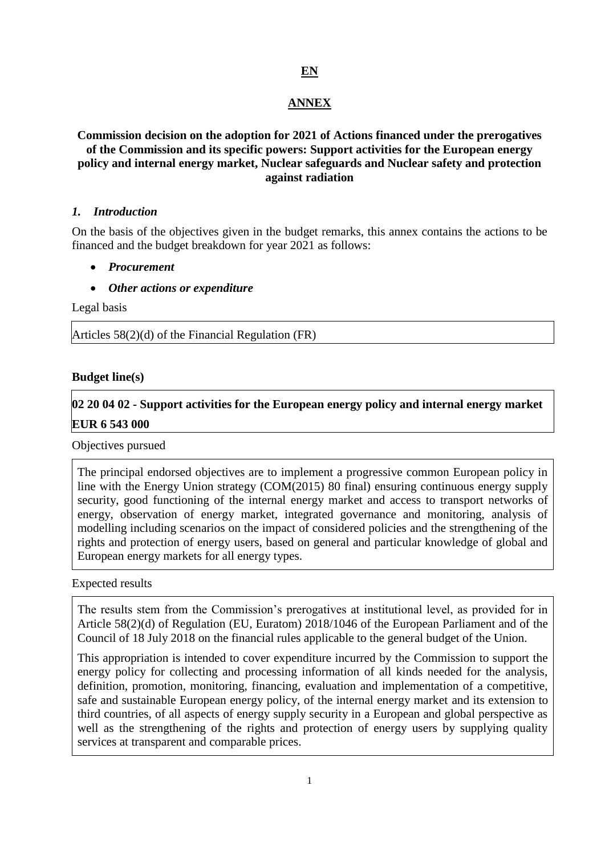# **EN**

## **ANNEX**

# **Commission decision on the adoption for 2021 of Actions financed under the prerogatives of the Commission and its specific powers: Support activities for the European energy policy and internal energy market, Nuclear safeguards and Nuclear safety and protection against radiation**

#### *1. Introduction*

On the basis of the objectives given in the budget remarks, this annex contains the actions to be financed and the budget breakdown for year 2021 as follows:

- *Procurement*
- *Other actions or expenditure*

Legal basis

Articles 58(2)(d) of the Financial Regulation (FR)

#### **Budget line(s)**

# **02 20 04 02 - Support activities for the European energy policy and internal energy market EUR 6 543 000**

#### Objectives pursued

The principal endorsed objectives are to implement a progressive common European policy in line with the Energy Union strategy (COM(2015) 80 final) ensuring continuous energy supply security, good functioning of the internal energy market and access to transport networks of energy, observation of energy market, integrated governance and monitoring, analysis of modelling including scenarios on the impact of considered policies and the strengthening of the rights and protection of energy users, based on general and particular knowledge of global and European energy markets for all energy types.

Expected results

The results stem from the Commission's prerogatives at institutional level, as provided for in Article 58(2)(d) of Regulation (EU, Euratom) 2018/1046 of the European Parliament and of the Council of 18 July 2018 on the financial rules applicable to the general budget of the Union.

This appropriation is intended to cover expenditure incurred by the Commission to support the energy policy for collecting and processing information of all kinds needed for the analysis, definition, promotion, monitoring, financing, evaluation and implementation of a competitive, safe and sustainable European energy policy, of the internal energy market and its extension to third countries, of all aspects of energy supply security in a European and global perspective as well as the strengthening of the rights and protection of energy users by supplying quality services at transparent and comparable prices.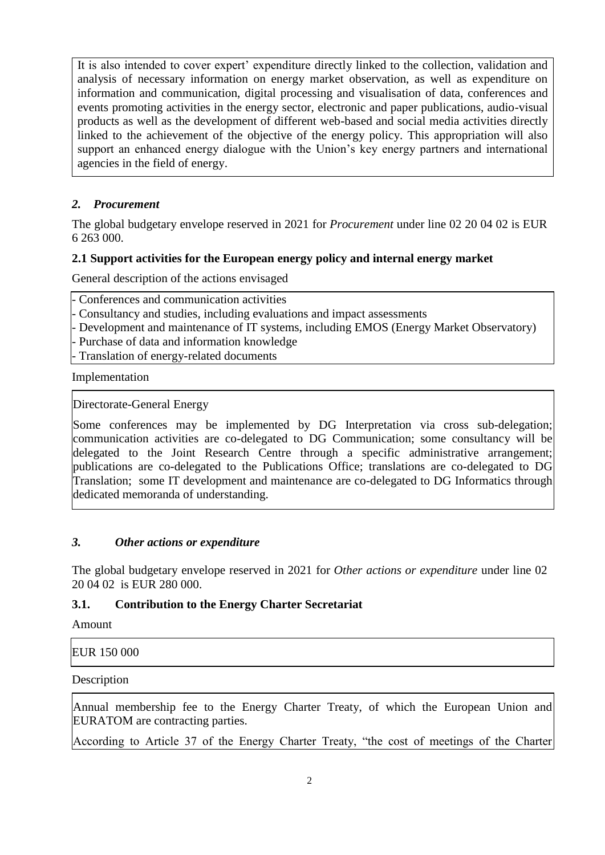It is also intended to cover expert' expenditure directly linked to the collection, validation and analysis of necessary information on energy market observation, as well as expenditure on information and communication, digital processing and visualisation of data, conferences and events promoting activities in the energy sector, electronic and paper publications, audio-visual products as well as the development of different web-based and social media activities directly linked to the achievement of the objective of the energy policy. This appropriation will also support an enhanced energy dialogue with the Union's key energy partners and international agencies in the field of energy.

# *2. Procurement*

The global budgetary envelope reserved in 2021 for *Procurement* under line 02 20 04 02 is EUR 6 263 000.

# **2.1 Support activities for the European energy policy and internal energy market**

General description of the actions envisaged

| - Conferences and communication activities                                                                     |
|----------------------------------------------------------------------------------------------------------------|
| - Consultancy and studies, including evaluations and impact assessments                                        |
| - Development and maintenance of IT systems, including EMOS (Energy Market Observatory)                        |
| - Purchase of data and information knowledge                                                                   |
| - Translation of energy-related documents                                                                      |
| The contract of the Latitude of the contract of the contract of the contract of the contract of the contract o |

Implementation

Directorate-General Energy

Some conferences may be implemented by DG Interpretation via cross sub-delegation; communication activities are co-delegated to DG Communication; some consultancy will be delegated to the Joint Research Centre through a specific administrative arrangement; publications are co-delegated to the Publications Office; translations are co-delegated to DG Translation; some IT development and maintenance are co-delegated to DG Informatics through dedicated memoranda of understanding.

# *3. Other actions or expenditure*

The global budgetary envelope reserved in 2021 for *Other actions or expenditure* under line 02 20 04 02 is EUR 280 000.

# **3.1. Contribution to the Energy Charter Secretariat**

Amount

EUR 150 000

Description

Annual membership fee to the Energy Charter Treaty, of which the European Union and EURATOM are contracting parties.

According to Article 37 of the Energy Charter Treaty, "the cost of meetings of the Charter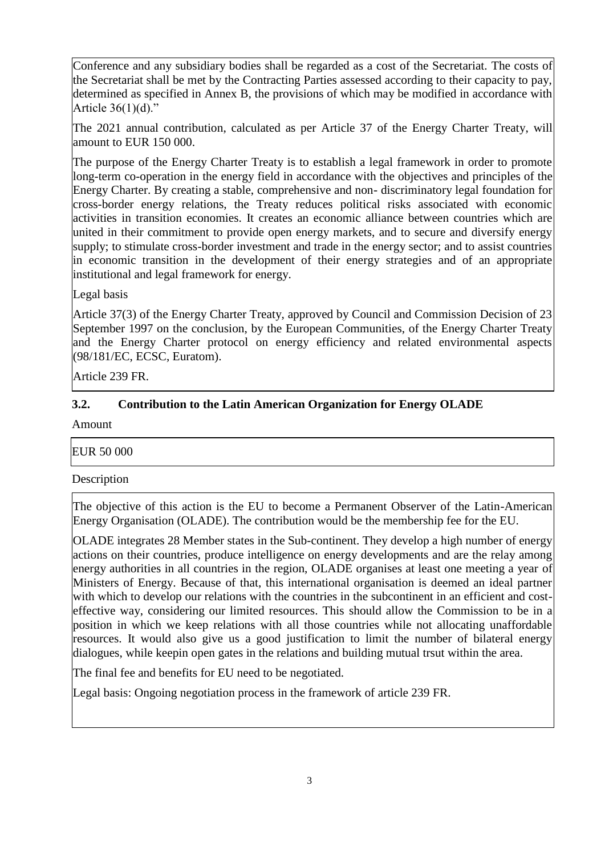Conference and any subsidiary bodies shall be regarded as a cost of the Secretariat. The costs of the Secretariat shall be met by the Contracting Parties assessed according to their capacity to pay, determined as specified in Annex B, the provisions of which may be modified in accordance with Article 36(1)(d)."

The 2021 annual contribution, calculated as per Article 37 of the Energy Charter Treaty, will amount to EUR 150 000.

The purpose of the Energy Charter Treaty is to establish a legal framework in order to promote long-term co-operation in the energy field in accordance with the objectives and principles of the Energy Charter. By creating a stable, comprehensive and non- discriminatory legal foundation for cross-border energy relations, the Treaty reduces political risks associated with economic activities in transition economies. It creates an economic alliance between countries which are united in their commitment to provide open energy markets, and to secure and diversify energy supply; to stimulate cross-border investment and trade in the energy sector; and to assist countries in economic transition in the development of their energy strategies and of an appropriate institutional and legal framework for energy.

Legal basis

Article 37(3) of the Energy Charter Treaty, approved by Council and Commission Decision of 23 September 1997 on the conclusion, by the European Communities, of the Energy Charter Treaty and the Energy Charter protocol on energy efficiency and related environmental aspects (98/181/EC, ECSC, Euratom).

Article 239 FR.

# **3.2. Contribution to the Latin American Organization for Energy OLADE**

Amount

## EUR 50 000

Description

The objective of this action is the EU to become a Permanent Observer of the Latin-American Energy Organisation (OLADE). The contribution would be the membership fee for the EU.

OLADE integrates 28 Member states in the Sub-continent. They develop a high number of energy actions on their countries, produce intelligence on energy developments and are the relay among energy authorities in all countries in the region, OLADE organises at least one meeting a year of Ministers of Energy. Because of that, this international organisation is deemed an ideal partner with which to develop our relations with the countries in the subcontinent in an efficient and costeffective way, considering our limited resources. This should allow the Commission to be in a position in which we keep relations with all those countries while not allocating unaffordable resources. It would also give us a good justification to limit the number of bilateral energy dialogues, while keepin open gates in the relations and building mutual trsut within the area.

The final fee and benefits for EU need to be negotiated.

Legal basis: Ongoing negotiation process in the framework of article 239 FR.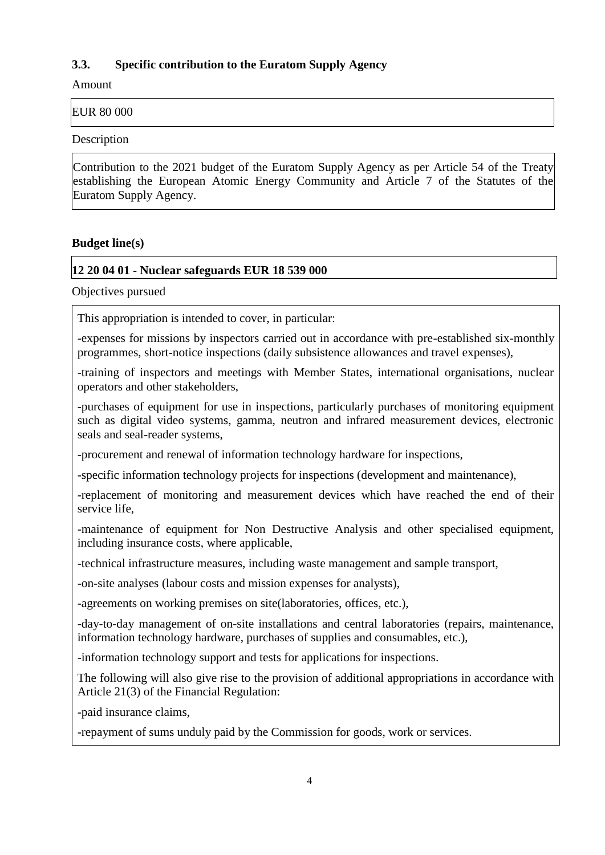# **3.3. Specific contribution to the Euratom Supply Agency**

Amount

EUR 80 000

Description

Contribution to the 2021 budget of the Euratom Supply Agency as per Article 54 of the Treaty establishing the European Atomic Energy Community and Article 7 of the Statutes of the Euratom Supply Agency.

## **Budget line(s)**

## **12 20 04 01 - Nuclear safeguards EUR 18 539 000**

Objectives pursued

This appropriation is intended to cover, in particular:

-expenses for missions by inspectors carried out in accordance with pre-established six-monthly programmes, short-notice inspections (daily subsistence allowances and travel expenses),

-training of inspectors and meetings with Member States, international organisations, nuclear operators and other stakeholders,

-purchases of equipment for use in inspections, particularly purchases of monitoring equipment such as digital video systems, gamma, neutron and infrared measurement devices, electronic seals and seal-reader systems,

-procurement and renewal of information technology hardware for inspections,

-specific information technology projects for inspections (development and maintenance),

-replacement of monitoring and measurement devices which have reached the end of their service life,

-maintenance of equipment for Non Destructive Analysis and other specialised equipment, including insurance costs, where applicable,

-technical infrastructure measures, including waste management and sample transport,

-on-site analyses (labour costs and mission expenses for analysts),

-agreements on working premises on site(laboratories, offices, etc.),

-day-to-day management of on-site installations and central laboratories (repairs, maintenance, information technology hardware, purchases of supplies and consumables, etc.),

-information technology support and tests for applications for inspections.

The following will also give rise to the provision of additional appropriations in accordance with Article 21(3) of the Financial Regulation:

-paid insurance claims,

-repayment of sums unduly paid by the Commission for goods, work or services.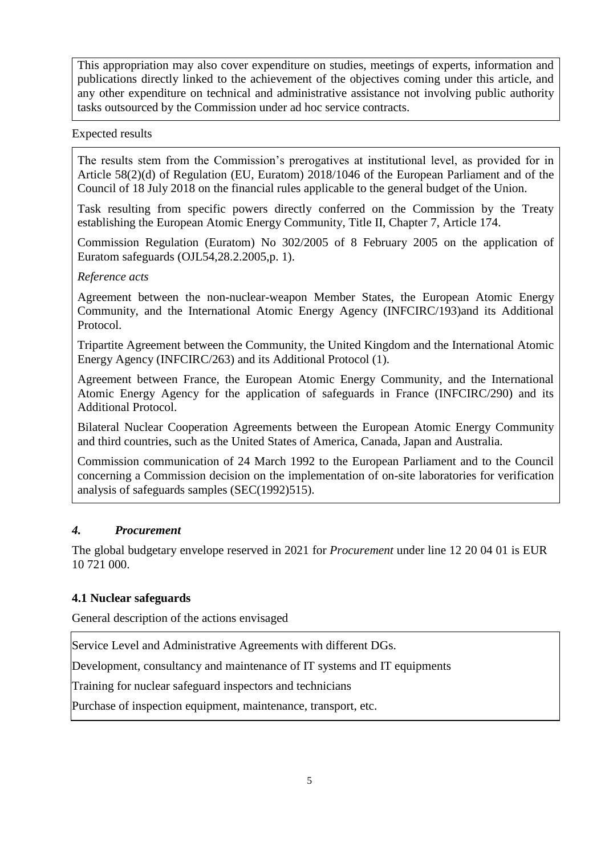This appropriation may also cover expenditure on studies, meetings of experts, information and publications directly linked to the achievement of the objectives coming under this article, and any other expenditure on technical and administrative assistance not involving public authority tasks outsourced by the Commission under ad hoc service contracts.

## Expected results

The results stem from the Commission's prerogatives at institutional level, as provided for in Article 58(2)(d) of Regulation (EU, Euratom) 2018/1046 of the European Parliament and of the Council of 18 July 2018 on the financial rules applicable to the general budget of the Union.

Task resulting from specific powers directly conferred on the Commission by the Treaty establishing the European Atomic Energy Community, Title II, Chapter 7, Article 174.

Commission Regulation (Euratom) No 302/2005 of 8 February 2005 on the application of Euratom safeguards (OJL54,28.2.2005,p. 1).

## *Reference acts*

Agreement between the non-nuclear-weapon Member States, the European Atomic Energy Community, and the International Atomic Energy Agency (INFCIRC/193)and its Additional Protocol.

Tripartite Agreement between the Community, the United Kingdom and the International Atomic Energy Agency (INFCIRC/263) and its Additional Protocol (1).

Agreement between France, the European Atomic Energy Community, and the International Atomic Energy Agency for the application of safeguards in France (INFCIRC/290) and its Additional Protocol.

Bilateral Nuclear Cooperation Agreements between the European Atomic Energy Community and third countries, such as the United States of America, Canada, Japan and Australia.

Commission communication of 24 March 1992 to the European Parliament and to the Council concerning a Commission decision on the implementation of on-site laboratories for verification analysis of safeguards samples (SEC(1992)515).

# *4. Procurement*

The global budgetary envelope reserved in 2021 for *Procurement* under line 12 20 04 01 is EUR 10 721 000.

# **4.1 Nuclear safeguards**

General description of the actions envisaged

Service Level and Administrative Agreements with different DGs.

Development, consultancy and maintenance of IT systems and IT equipments

Training for nuclear safeguard inspectors and technicians

Purchase of inspection equipment, maintenance, transport, etc.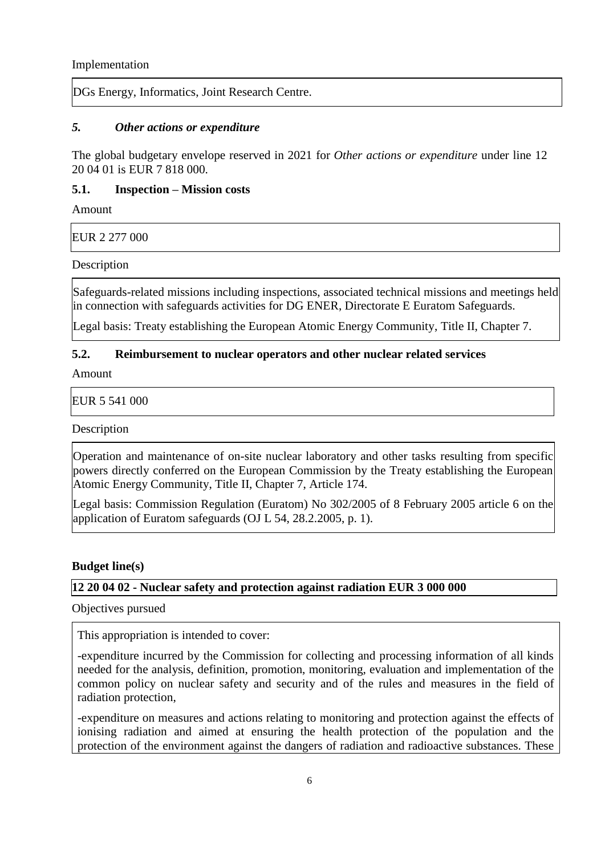Implementation

DGs Energy, Informatics, Joint Research Centre.

## *5. Other actions or expenditure*

The global budgetary envelope reserved in 2021 for *Other actions or expenditure* under line 12 20 04 01 is EUR 7 818 000.

## **5.1. Inspection – Mission costs**

Amount

EUR 2 277 000

Description

Safeguards-related missions including inspections, associated technical missions and meetings held in connection with safeguards activities for DG ENER, Directorate E Euratom Safeguards.

Legal basis: Treaty establishing the European Atomic Energy Community, Title II, Chapter 7.

# **5.2. Reimbursement to nuclear operators and other nuclear related services**

Amount

EUR 5 541 000

**Description** 

Operation and maintenance of on-site nuclear laboratory and other tasks resulting from specific powers directly conferred on the European Commission by the Treaty establishing the European Atomic Energy Community, Title II, Chapter 7, Article 174.

Legal basis: Commission Regulation (Euratom) No 302/2005 of 8 February 2005 article 6 on the application of Euratom safeguards (OJ L 54, 28.2.2005, p. 1).

## **Budget line(s)**

# **12 20 04 02 - Nuclear safety and protection against radiation EUR 3 000 000**

Objectives pursued

This appropriation is intended to cover:

-expenditure incurred by the Commission for collecting and processing information of all kinds needed for the analysis, definition, promotion, monitoring, evaluation and implementation of the common policy on nuclear safety and security and of the rules and measures in the field of radiation protection,

-expenditure on measures and actions relating to monitoring and protection against the effects of ionising radiation and aimed at ensuring the health protection of the population and the protection of the environment against the dangers of radiation and radioactive substances. These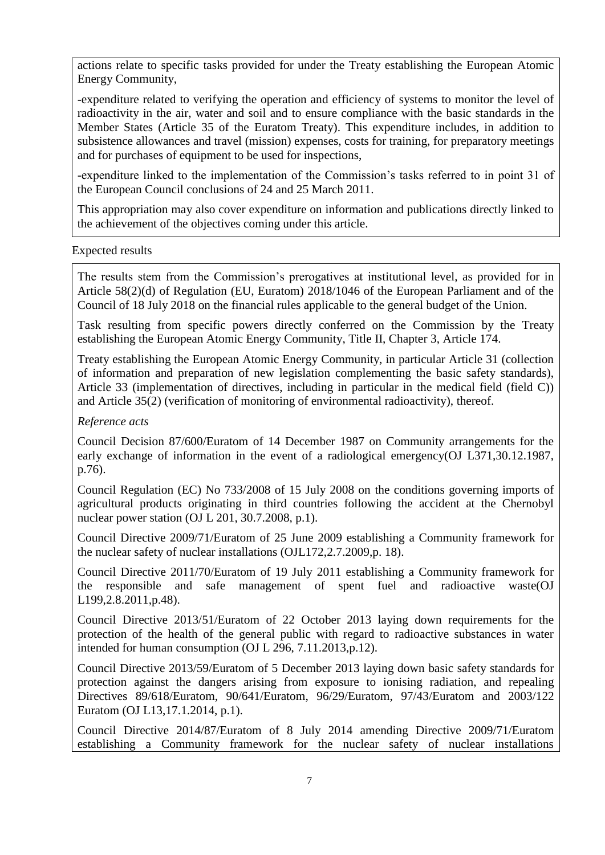actions relate to specific tasks provided for under the Treaty establishing the European Atomic Energy Community,

-expenditure related to verifying the operation and efficiency of systems to monitor the level of radioactivity in the air, water and soil and to ensure compliance with the basic standards in the Member States (Article 35 of the Euratom Treaty). This expenditure includes, in addition to subsistence allowances and travel (mission) expenses, costs for training, for preparatory meetings and for purchases of equipment to be used for inspections,

-expenditure linked to the implementation of the Commission's tasks referred to in point 31 of the European Council conclusions of 24 and 25 March 2011.

This appropriation may also cover expenditure on information and publications directly linked to the achievement of the objectives coming under this article.

#### Expected results

The results stem from the Commission's prerogatives at institutional level, as provided for in Article 58(2)(d) of Regulation (EU, Euratom) 2018/1046 of the European Parliament and of the Council of 18 July 2018 on the financial rules applicable to the general budget of the Union.

Task resulting from specific powers directly conferred on the Commission by the Treaty establishing the European Atomic Energy Community, Title II, Chapter 3, Article 174.

Treaty establishing the European Atomic Energy Community, in particular Article 31 (collection of information and preparation of new legislation complementing the basic safety standards), Article 33 (implementation of directives, including in particular in the medical field (field C)) and Article 35(2) (verification of monitoring of environmental radioactivity), thereof.

## *Reference acts*

Council Decision 87/600/Euratom of 14 December 1987 on Community arrangements for the early exchange of information in the event of a radiological emergency(OJ L371,30.12.1987, p.76).

Council Regulation (EC) No 733/2008 of 15 July 2008 on the conditions governing imports of agricultural products originating in third countries following the accident at the Chernobyl nuclear power station (OJ L 201, 30.7.2008, p.1).

Council Directive 2009/71/Euratom of 25 June 2009 establishing a Community framework for the nuclear safety of nuclear installations (OJL172,2.7.2009,p. 18).

Council Directive 2011/70/Euratom of 19 July 2011 establishing a Community framework for the responsible and safe management of spent fuel and radioactive waste(OJ L199,2.8.2011,p.48).

Council Directive 2013/51/Euratom of 22 October 2013 laying down requirements for the protection of the health of the general public with regard to radioactive substances in water intended for human consumption (OJ L 296, 7.11.2013,p.12).

Council Directive 2013/59/Euratom of 5 December 2013 laying down basic safety standards for protection against the dangers arising from exposure to ionising radiation, and repealing Directives 89/618/Euratom, 90/641/Euratom, 96/29/Euratom, 97/43/Euratom and 2003/122 Euratom (OJ L13,17.1.2014, p.1).

Council Directive 2014/87/Euratom of 8 July 2014 amending Directive 2009/71/Euratom establishing a Community framework for the nuclear safety of nuclear installations